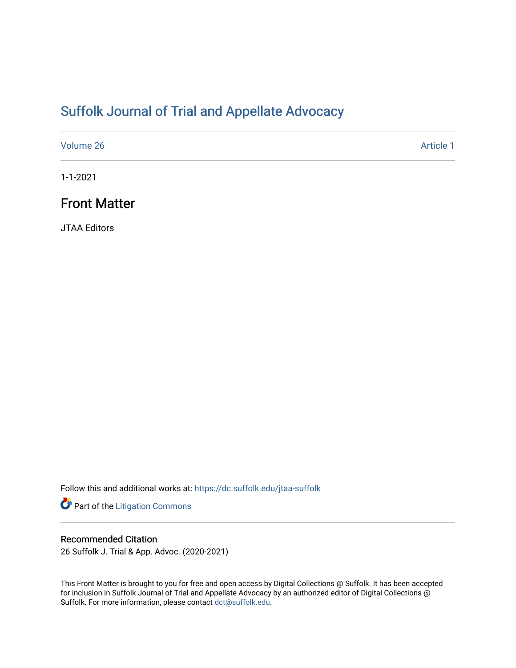## [Suffolk Journal of Trial and Appellate Advocacy](https://dc.suffolk.edu/jtaa-suffolk)

[Volume 26](https://dc.suffolk.edu/jtaa-suffolk/vol26) Article 1

1-1-2021

### Front Matter

JTAA Editors

Follow this and additional works at: [https://dc.suffolk.edu/jtaa-suffolk](https://dc.suffolk.edu/jtaa-suffolk?utm_source=dc.suffolk.edu%2Fjtaa-suffolk%2Fvol26%2Fiss1%2F1&utm_medium=PDF&utm_campaign=PDFCoverPages) 

Part of the [Litigation Commons](http://network.bepress.com/hgg/discipline/910?utm_source=dc.suffolk.edu%2Fjtaa-suffolk%2Fvol26%2Fiss1%2F1&utm_medium=PDF&utm_campaign=PDFCoverPages)

#### Recommended Citation

26 Suffolk J. Trial & App. Advoc. (2020-2021)

This Front Matter is brought to you for free and open access by Digital Collections @ Suffolk. It has been accepted for inclusion in Suffolk Journal of Trial and Appellate Advocacy by an authorized editor of Digital Collections @ Suffolk. For more information, please contact [dct@suffolk.edu.](mailto:dct@suffolk.edu)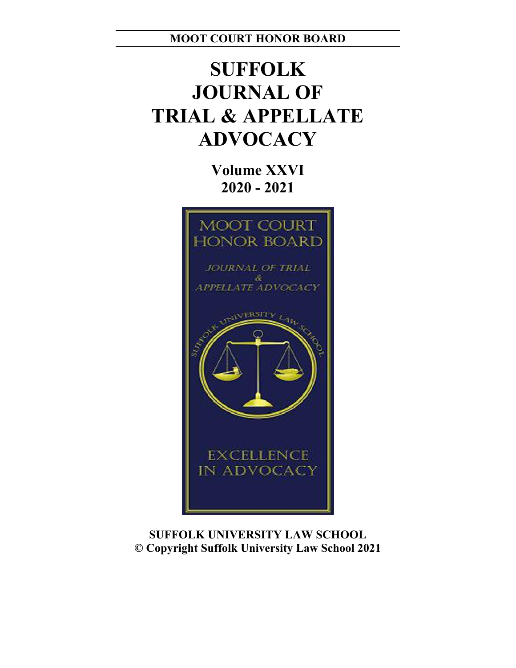**MOOT COURT HONOR BOARD**

# **SUFFOLK JOURNAL OF TRIAL & APPELLATE ADVOCACY**

**Volume XXVI 2020 - 2021**



**SUFFOLK UNIVERSITY LAW SCHOOL © Copyright Suffolk University Law School 2021**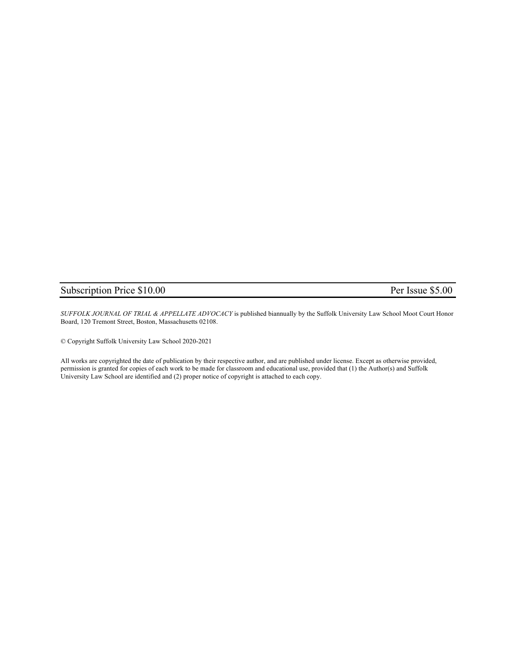#### Subscription Price \$10.00 Per Issue \$5.00

*SUFFOLK JOURNAL OF TRIAL & APPELLATE ADVOCACY* is published biannually by the Suffolk University Law School Moot Court Honor Board, 120 Tremont Street, Boston, Massachusetts 02108.

© Copyright Suffolk University Law School 2020-2021

All works are copyrighted the date of publication by their respective author, and are published under license. Except as otherwise provided, permission is granted for copies of each work to be made for classroom and educational use, provided that (1) the Author(s) and Suffolk University Law School are identified and (2) proper notice of copyright is attached to each copy.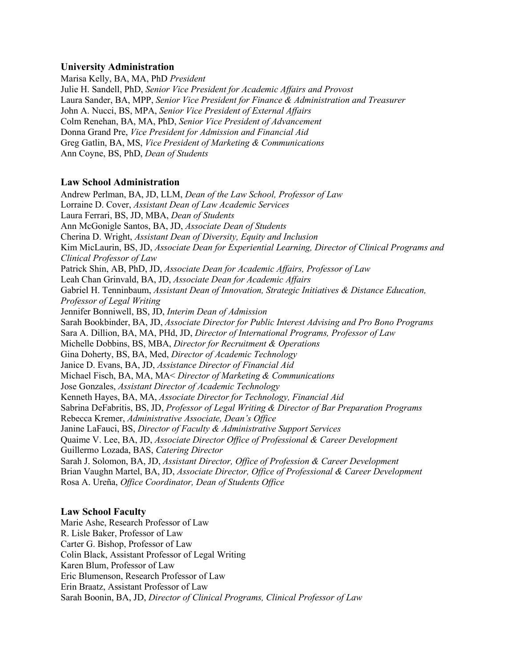#### **University Administration**

Marisa Kelly, BA, MA, PhD *President* Julie H. Sandell, PhD, *Senior Vice President for Academic Affairs and Provost*  Laura Sander, BA, MPP, *Senior Vice President for Finance & Administration and Treasurer* John A. Nucci, BS, MPA, *Senior Vice President of External Affairs* Colm Renehan, BA, MA, PhD, *Senior Vice President of Advancement* Donna Grand Pre, *Vice President for Admission and Financial Aid* Greg Gatlin, BA, MS, *Vice President of Marketing & Communications* Ann Coyne, BS, PhD, *Dean of Students*

#### **Law School Administration**

Andrew Perlman, BA, JD, LLM, *Dean of the Law School, Professor of Law* Lorraine D. Cover, *Assistant Dean of Law Academic Services* Laura Ferrari, BS, JD, MBA, *Dean of Students* Ann McGonigle Santos, BA, JD, *Associate Dean of Students* Cherina D. Wright, *Assistant Dean of Diversity, Equity and Inclusion*  Kim MicLaurin, BS, JD, *Associate Dean for Experiential Learning, Director of Clinical Programs and Clinical Professor of Law* Patrick Shin, AB, PhD, JD, *Associate Dean for Academic Affairs, Professor of Law* Leah Chan Grinvald, BA, JD, *Associate Dean for Academic Affairs*  Gabriel H. Tenninbaum, *Assistant Dean of Innovation, Strategic Initiatives & Distance Education, Professor of Legal Writing*  Jennifer Bonniwell, BS, JD, *Interim Dean of Admission*  Sarah Bookbinder, BA, JD, *Associate Director for Public Interest Advising and Pro Bono Programs*  Sara A. Dillion, BA, MA, PHd, JD, *Director of International Programs, Professor of Law* Michelle Dobbins, BS, MBA, *Director for Recruitment & Operations* Gina Doherty, BS, BA, Med, *Director of Academic Technology*  Janice D. Evans, BA, JD, *Assistance Director of Financial Aid*  Michael Fisch, BA, MA, MA< *Director of Marketing & Communications*  Jose Gonzales, *Assistant Director of Academic Technology*  Kenneth Hayes, BA, MA, *Associate Director for Technology, Financial Aid*  Sabrina DeFabritis, BS, JD, *Professor of Legal Writing & Director of Bar Preparation Programs*  Rebecca Kremer, *Administrative Associate, Dean's Office*  Janine LaFauci, BS, *Director of Faculty & Administrative Support Services*  Quaime V. Lee, BA, JD, *Associate Director Office of Professional & Career Development*  Guillermo Lozada, BAS, *Catering Director* Sarah J. Solomon, BA, JD, *Assistant Director, Office of Profession & Career Development*  Brian Vaughn Martel, BA, JD, *Associate Director, Office of Professional & Career Development* Rosa A. Ureña, *Office Coordinator, Dean of Students Office* 

#### **Law School Faculty**

Marie Ashe, Research Professor of Law R. Lisle Baker, Professor of Law Carter G. Bishop, Professor of Law Colin Black, Assistant Professor of Legal Writing Karen Blum, Professor of Law Eric Blumenson, Research Professor of Law Erin Braatz, Assistant Professor of Law Sarah Boonin, BA, JD, *Director of Clinical Programs, Clinical Professor of Law*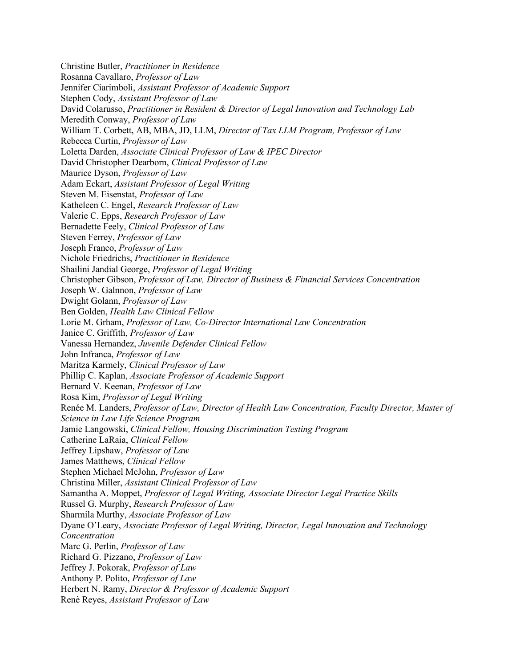Christine Butler, *Practitioner in Residence*  Rosanna Cavallaro, *Professor of Law*  Jennifer Ciarimboli, *Assistant Professor of Academic Support*  Stephen Cody, *Assistant Professor of Law*  David Colarusso, *Practitioner in Resident & Director of Legal Innovation and Technology Lab* Meredith Conway, *Professor of Law* William T. Corbett, AB, MBA, JD, LLM, *Director of Tax LLM Program, Professor of Law* Rebecca Curtin, *Professor of Law* Loletta Darden, *Associate Clinical Professor of Law & IPEC Director* David Christopher Dearborn, *Clinical Professor of Law* Maurice Dyson, *Professor of Law* Adam Eckart, *Assistant Professor of Legal Writing* Steven M. Eisenstat, *Professor of Law* Katheleen C. Engel, *Research Professor of Law* Valerie C. Epps, *Research Professor of Law* Bernadette Feely, *Clinical Professor of Law* Steven Ferrey, *Professor of Law* Joseph Franco, *Professor of Law* Nichole Friedrichs, *Practitioner in Residence* Shailini Jandial George, *Professor of Legal Writing* Christopher Gibson, *Professor of Law, Director of Business & Financial Services Concentration* Joseph W. Galnnon, *Professor of Law* Dwight Golann, *Professor of Law* Ben Golden, *Health Law Clinical Fellow* Lorie M. Grham, *Professor of Law, Co-Director International Law Concentration* Janice C. Griffith, *Professor of Law* Vanessa Hernandez, *Juvenile Defender Clinical Fellow* John Infranca, *Professor of Law* Maritza Karmely, *Clinical Professor of Law* Phillip C. Kaplan, *Associate Professor of Academic Support* Bernard V. Keenan, *Professor of Law* Rosa Kim, *Professor of Legal Writing* Renée M. Landers, *Professor of Law, Director of Health Law Concentration, Faculty Director, Master of Science in Law Life Science Program*  Jamie Langowski, *Clinical Fellow, Housing Discrimination Testing Program* Catherine LaRaia, *Clinical Fellow* Jeffrey Lipshaw, *Professor of Law* James Matthews, *Clinical Fellow* Stephen Michael McJohn, *Professor of Law* Christina Miller, *Assistant Clinical Professor of Law* Samantha A. Moppet, *Professor of Legal Writing, Associate Director Legal Practice Skills*  Russel G. Murphy, *Research Professor of Law* Sharmila Murthy, *Associate Professor of Law* Dyane O'Leary, *Associate Professor of Legal Writing, Director, Legal Innovation and Technology Concentration* Marc G. Perlin, *Professor of Law* Richard G. Pizzano, *Professor of Law* Jeffrey J. Pokorak, *Professor of Law* Anthony P. Polito, *Professor of Law* Herbert N. Ramy, *Director & Professor of Academic Support* Renè Reyes, *Assistant Professor of Law*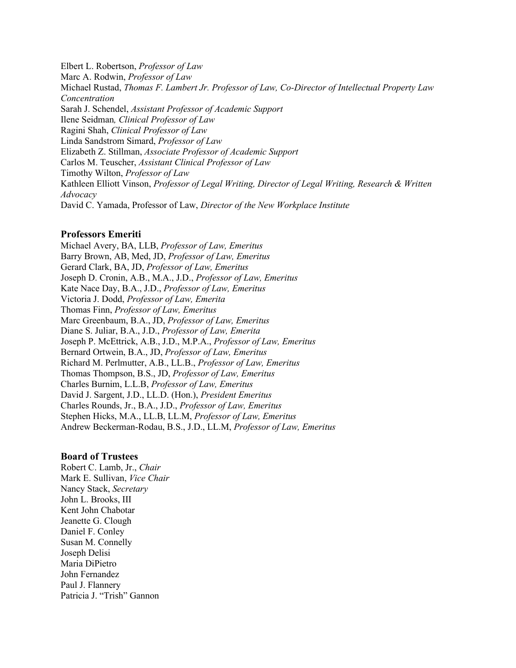Elbert L. Robertson, *Professor of Law* Marc A. Rodwin, *Professor of Law* Michael Rustad, *Thomas F. Lambert Jr. Professor of Law, Co-Director of Intellectual Property Law Concentration* Sarah J. Schendel, *Assistant Professor of Academic Support* Ilene Seidman*, Clinical Professor of Law* Ragini Shah, *Clinical Professor of Law* Linda Sandstrom Simard, *Professor of Law* Elizabeth Z. Stillman, *Associate Professor of Academic Support*  Carlos M. Teuscher, *Assistant Clinical Professor of Law* Timothy Wilton, *Professor of Law* Kathleen Elliott Vinson, *Professor of Legal Writing, Director of Legal Writing, Research & Written Advocacy*  David C. Yamada, Professor of Law, *Director of the New Workplace Institute*

#### **Professors Emeriti**

Michael Avery, BA, LLB, *Professor of Law, Emeritus* Barry Brown, AB, Med, JD, *Professor of Law, Emeritus* Gerard Clark, BA, JD, *Professor of Law, Emeritus* Joseph D. Cronin, A.B., M.A., J.D., *Professor of Law, Emeritus* Kate Nace Day, B.A., J.D., *Professor of Law, Emeritus* Victoria J. Dodd, *Professor of Law, Emerita* Thomas Finn, *Professor of Law, Emeritus* Marc Greenbaum, B.A., JD, *Professor of Law, Emeritus* Diane S. Juliar, B.A., J.D., *Professor of Law, Emerita* Joseph P. McEttrick, A.B., J.D., M.P.A., *Professor of Law, Emeritus* Bernard Ortwein, B.A., JD, *Professor of Law, Emeritus*  Richard M. Perlmutter, A.B., LL.B., *Professor of Law, Emeritus* Thomas Thompson, B.S., JD, *Professor of Law, Emeritus* Charles Burnim, L.L.B, *Professor of Law, Emeritus* David J. Sargent, J.D., LL.D. (Hon.), *President Emeritus* Charles Rounds, Jr., B.A., J.D., *Professor of Law, Emeritus* Stephen Hicks, M.A., LL.B, LL.M, *Professor of Law, Emeritus* Andrew Beckerman-Rodau, B.S., J.D., LL.M, *Professor of Law, Emeritus* 

#### **Board of Trustees**

Robert C. Lamb, Jr., *Chair* Mark E. Sullivan, *Vice Chair* Nancy Stack, *Secretary*  John L. Brooks, III Kent John Chabotar Jeanette G. Clough Daniel F. Conley Susan M. Connelly Joseph Delisi Maria DiPietro John Fernandez Paul J. Flannery Patricia J. "Trish" Gannon